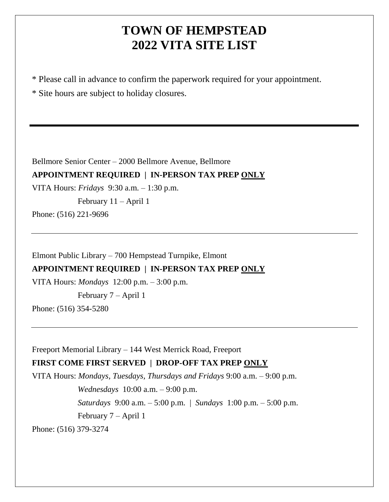# **TOWN OF HEMPSTEAD 2022 VITA SITE LIST**

\* Please call in advance to confirm the paperwork required for your appointment.

\* Site hours are subject to holiday closures.

Bellmore Senior Center – 2000 Bellmore Avenue, Bellmore

## **APPOINTMENT REQUIRED | IN-PERSON TAX PREP ONLY**

VITA Hours: *Fridays* 9:30 a.m. – 1:30 p.m.

February 11 – April 1

Phone: (516) 221-9696

Elmont Public Library – 700 Hempstead Turnpike, Elmont

### **APPOINTMENT REQUIRED | IN-PERSON TAX PREP ONLY**

VITA Hours: *Mondays* 12:00 p.m. – 3:00 p.m.

February 7 – April 1

Phone: (516) 354-5280

Freeport Memorial Library – 144 West Merrick Road, Freeport

## **FIRST COME FIRST SERVED | DROP-OFF TAX PREP ONLY**

VITA Hours: *Mondays, Tuesdays, Thursdays and Fridays* 9:00 a.m. – 9:00 p.m. *Wednesdays* 10:00 a.m. – 9:00 p.m. *Saturdays* 9:00 a.m. – 5:00 p.m. | *Sundays* 1:00 p.m. – 5:00 p.m. February 7 – April 1 Phone: (516) 379-3274